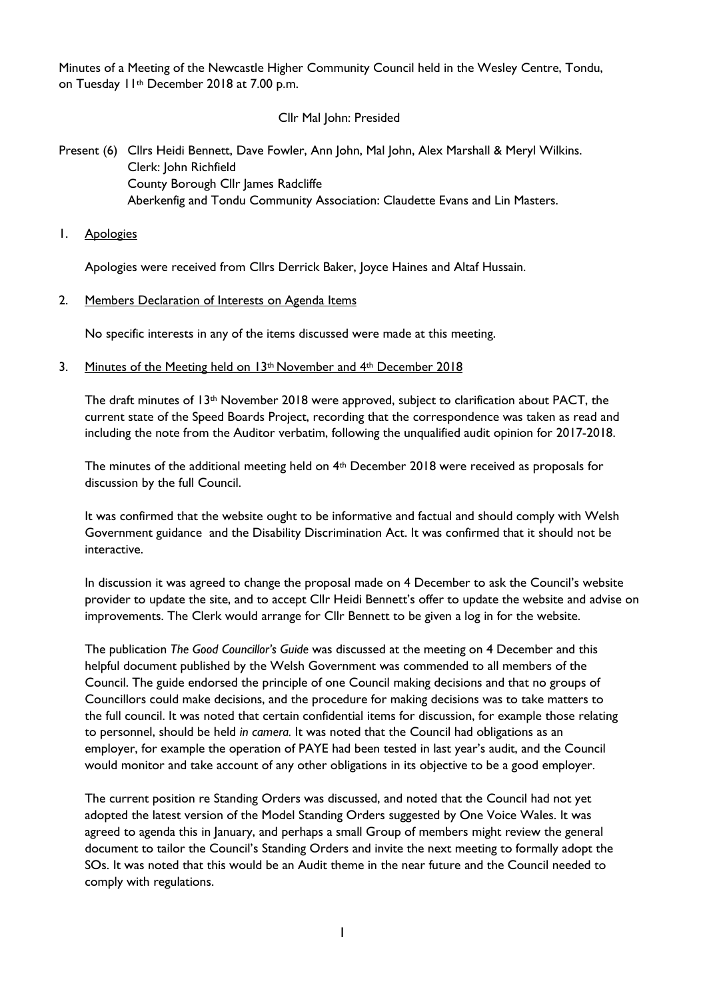Minutes of a Meeting of the Newcastle Higher Community Council held in the Wesley Centre, Tondu, on Tuesday 11<sup>th</sup> December 2018 at 7.00 p.m.

## Cllr Mal John: Presided

# Present (6) Cllrs Heidi Bennett, Dave Fowler, Ann John, Mal John, Alex Marshall & Meryl Wilkins. Clerk: John Richfield County Borough Cllr James Radcliffe Aberkenfig and Tondu Community Association: Claudette Evans and Lin Masters.

1. Apologies

Apologies were received from Cllrs Derrick Baker, Joyce Haines and Altaf Hussain.

2. Members Declaration of Interests on Agenda Items

No specific interests in any of the items discussed were made at this meeting.

3. Minutes of the Meeting held on 13<sup>th</sup> November and 4<sup>th</sup> December 2018

The draft minutes of  $13<sup>th</sup>$  November 2018 were approved, subject to clarification about PACT, the current state of the Speed Boards Project, recording that the correspondence was taken as read and including the note from the Auditor verbatim, following the unqualified audit opinion for 2017-2018.

The minutes of the additional meeting held on 4th December 2018 were received as proposals for discussion by the full Council.

It was confirmed that the website ought to be informative and factual and should comply with Welsh Government guidance and the Disability Discrimination Act. It was confirmed that it should not be interactive.

In discussion it was agreed to change the proposal made on 4 December to ask the Council's website provider to update the site, and to accept Cllr Heidi Bennett's offer to update the website and advise on improvements. The Clerk would arrange for Cllr Bennett to be given a log in for the website.

The publication *The Good Councillor's Guide* was discussed at the meeting on 4 December and this helpful document published by the Welsh Government was commended to all members of the Council. The guide endorsed the principle of one Council making decisions and that no groups of Councillors could make decisions, and the procedure for making decisions was to take matters to the full council. It was noted that certain confidential items for discussion, for example those relating to personnel, should be held *in camera.* It was noted that the Council had obligations as an employer, for example the operation of PAYE had been tested in last year's audit, and the Council would monitor and take account of any other obligations in its objective to be a good employer.

The current position re Standing Orders was discussed, and noted that the Council had not yet adopted the latest version of the Model Standing Orders suggested by One Voice Wales. It was agreed to agenda this in January, and perhaps a small Group of members might review the general document to tailor the Council's Standing Orders and invite the next meeting to formally adopt the SOs. It was noted that this would be an Audit theme in the near future and the Council needed to comply with regulations.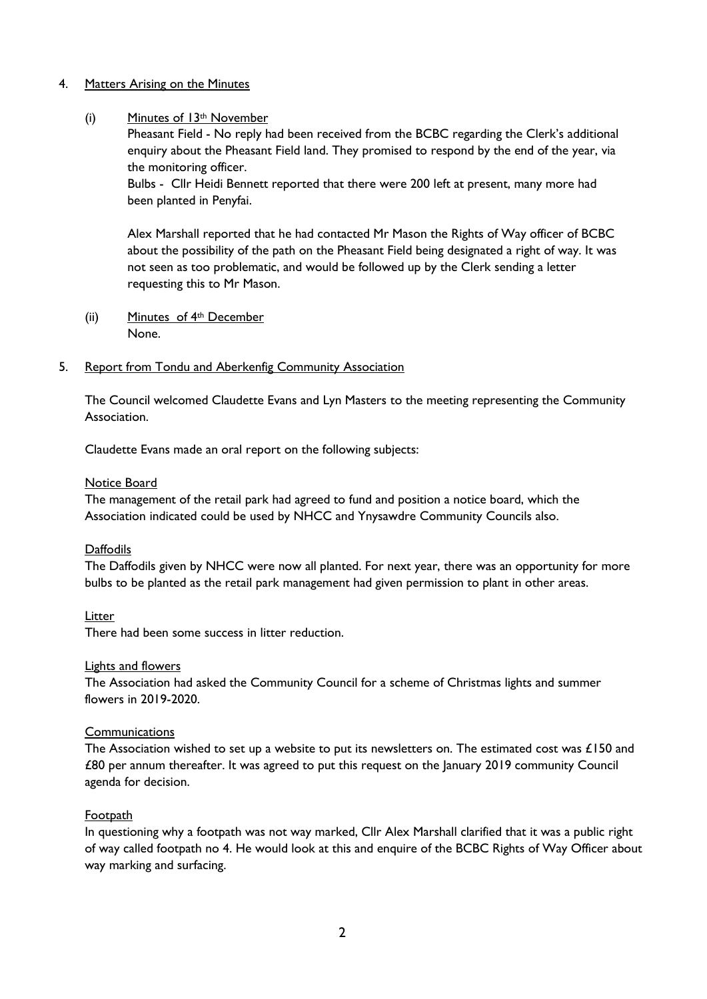### 4. Matters Arising on the Minutes

### (i) Minutes of  $13<sup>th</sup>$  November

Pheasant Field - No reply had been received from the BCBC regarding the Clerk's additional enquiry about the Pheasant Field land. They promised to respond by the end of the year, via the monitoring officer.

Bulbs - Cllr Heidi Bennett reported that there were 200 left at present, many more had been planted in Penyfai.

Alex Marshall reported that he had contacted Mr Mason the Rights of Way officer of BCBC about the possibility of the path on the Pheasant Field being designated a right of way. It was not seen as too problematic, and would be followed up by the Clerk sending a letter requesting this to Mr Mason.

(ii) Minutes of 4th December None.

### 5. Report from Tondu and Aberkenfig Community Association

The Council welcomed Claudette Evans and Lyn Masters to the meeting representing the Community Association.

Claudette Evans made an oral report on the following subjects:

### Notice Board

The management of the retail park had agreed to fund and position a notice board, which the Association indicated could be used by NHCC and Ynysawdre Community Councils also.

## **Daffodils**

The Daffodils given by NHCC were now all planted. For next year, there was an opportunity for more bulbs to be planted as the retail park management had given permission to plant in other areas.

Litter

There had been some success in litter reduction.

### Lights and flowers

The Association had asked the Community Council for a scheme of Christmas lights and summer flowers in 2019-2020.

## **Communications**

The Association wished to set up a website to put its newsletters on. The estimated cost was £150 and £80 per annum thereafter. It was agreed to put this request on the January 2019 community Council agenda for decision.

## Footpath

In questioning why a footpath was not way marked, Cllr Alex Marshall clarified that it was a public right of way called footpath no 4. He would look at this and enquire of the BCBC Rights of Way Officer about way marking and surfacing.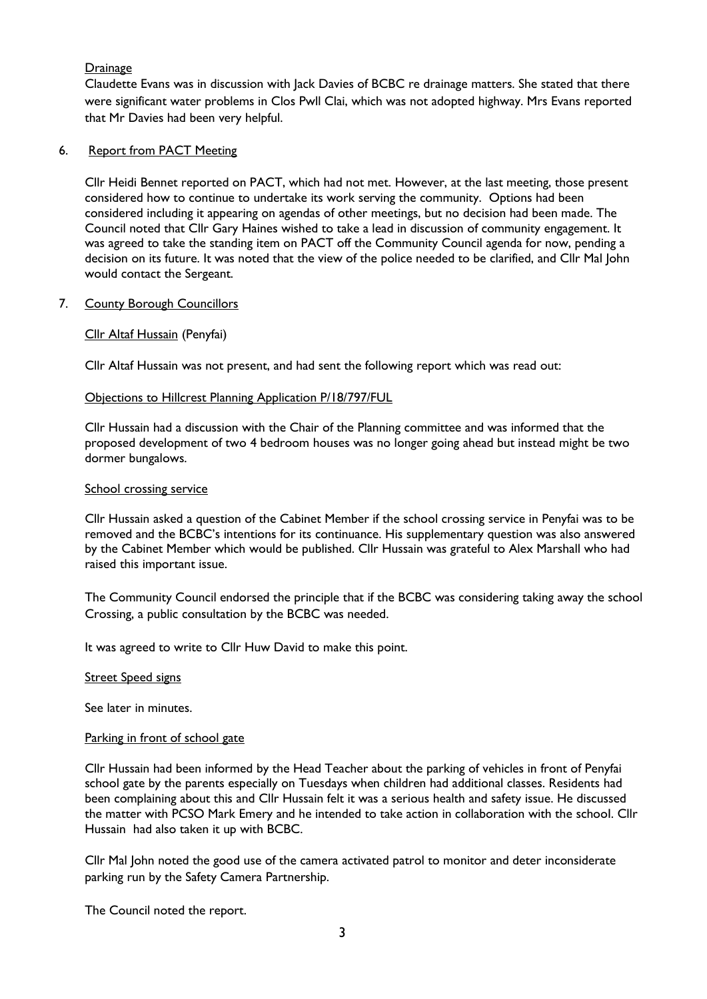## **Drainage**

Claudette Evans was in discussion with Jack Davies of BCBC re drainage matters. She stated that there were significant water problems in Clos Pwll Clai, which was not adopted highway. Mrs Evans reported that Mr Davies had been very helpful.

### 6. Report from PACT Meeting

Cllr Heidi Bennet reported on PACT, which had not met. However, at the last meeting, those present considered how to continue to undertake its work serving the community. Options had been considered including it appearing on agendas of other meetings, but no decision had been made. The Council noted that Cllr Gary Haines wished to take a lead in discussion of community engagement. It was agreed to take the standing item on PACT off the Community Council agenda for now, pending a decision on its future. It was noted that the view of the police needed to be clarified, and Cllr Mal John would contact the Sergeant.

### 7. County Borough Councillors

### Cllr Altaf Hussain (Penyfai)

Cllr Altaf Hussain was not present, and had sent the following report which was read out:

### Objections to Hillcrest Planning Application P/18/797/FUL

Cllr Hussain had a discussion with the Chair of the Planning committee and was informed that the proposed development of two 4 bedroom houses was no longer going ahead but instead might be two dormer bungalows.

### School crossing service

Cllr Hussain asked a question of the Cabinet Member if the school crossing service in Penyfai was to be removed and the BCBC's intentions for its continuance. His supplementary question was also answered by the Cabinet Member which would be published. Cllr Hussain was grateful to Alex Marshall who had raised this important issue.

The Community Council endorsed the principle that if the BCBC was considering taking away the school Crossing, a public consultation by the BCBC was needed.

It was agreed to write to Cllr Huw David to make this point.

### **Street Speed signs**

See later in minutes.

### Parking in front of school gate

Cllr Hussain had been informed by the Head Teacher about the parking of vehicles in front of Penyfai school gate by the parents especially on Tuesdays when children had additional classes. Residents had been complaining about this and Cllr Hussain felt it was a serious health and safety issue. He discussed the matter with PCSO Mark Emery and he intended to take action in collaboration with the school. Cllr Hussain had also taken it up with BCBC.

Cllr Mal John noted the good use of the camera activated patrol to monitor and deter inconsiderate parking run by the Safety Camera Partnership.

The Council noted the report.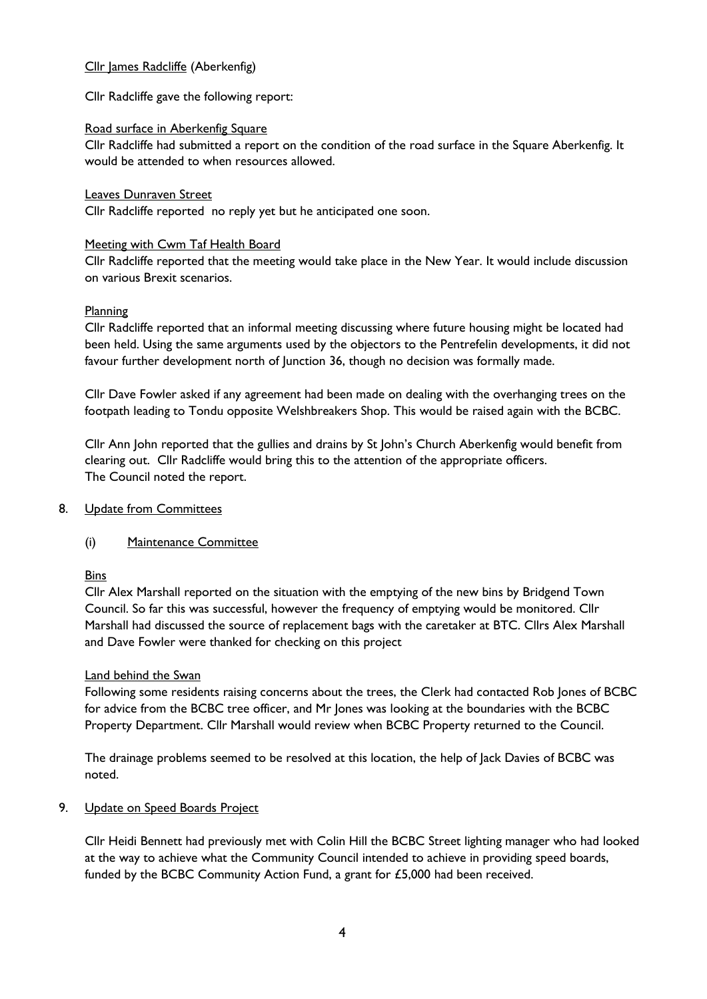## Cllr James Radcliffe (Aberkenfig)

Cllr Radcliffe gave the following report:

### Road surface in Aberkenfig Square

Cllr Radcliffe had submitted a report on the condition of the road surface in the Square Aberkenfig. It would be attended to when resources allowed.

### Leaves Dunraven Street

Cllr Radcliffe reported no reply yet but he anticipated one soon.

### Meeting with Cwm Taf Health Board

Cllr Radcliffe reported that the meeting would take place in the New Year. It would include discussion on various Brexit scenarios.

## Planning

Cllr Radcliffe reported that an informal meeting discussing where future housing might be located had been held. Using the same arguments used by the objectors to the Pentrefelin developments, it did not favour further development north of Junction 36, though no decision was formally made.

Cllr Dave Fowler asked if any agreement had been made on dealing with the overhanging trees on the footpath leading to Tondu opposite Welshbreakers Shop. This would be raised again with the BCBC.

Cllr Ann John reported that the gullies and drains by St John's Church Aberkenfig would benefit from clearing out. Cllr Radcliffe would bring this to the attention of the appropriate officers. The Council noted the report.

### 8. Update from Committees

## (i) Maintenance Committee

**Bins** 

Cllr Alex Marshall reported on the situation with the emptying of the new bins by Bridgend Town Council. So far this was successful, however the frequency of emptying would be monitored. Cllr Marshall had discussed the source of replacement bags with the caretaker at BTC. Cllrs Alex Marshall and Dave Fowler were thanked for checking on this project

### Land behind the Swan

Following some residents raising concerns about the trees, the Clerk had contacted Rob Jones of BCBC for advice from the BCBC tree officer, and Mr Jones was looking at the boundaries with the BCBC Property Department. Cllr Marshall would review when BCBC Property returned to the Council.

The drainage problems seemed to be resolved at this location, the help of Jack Davies of BCBC was noted.

### 9. Update on Speed Boards Project

Cllr Heidi Bennett had previously met with Colin Hill the BCBC Street lighting manager who had looked at the way to achieve what the Community Council intended to achieve in providing speed boards, funded by the BCBC Community Action Fund, a grant for £5,000 had been received.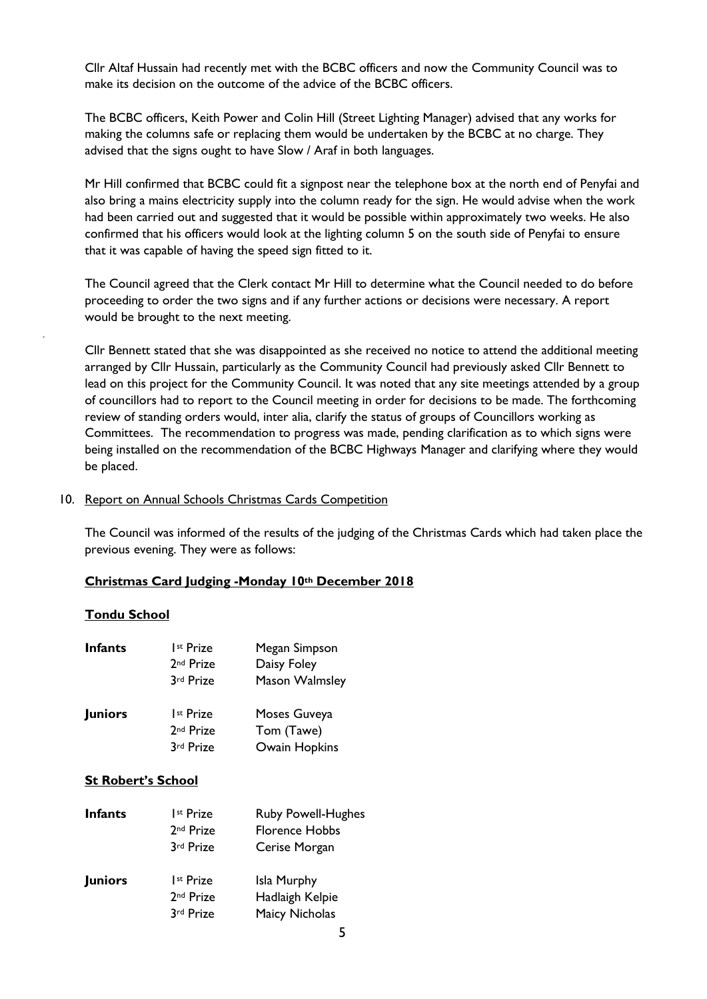Cllr Altaf Hussain had recently met with the BCBC officers and now the Community Council was to make its decision on the outcome of the advice of the BCBC officers.

The BCBC officers, Keith Power and Colin Hill (Street Lighting Manager) advised that any works for making the columns safe or replacing them would be undertaken by the BCBC at no charge. They advised that the signs ought to have Slow / Araf in both languages.

Mr Hill confirmed that BCBC could fit a signpost near the telephone box at the north end of Penyfai and also bring a mains electricity supply into the column ready for the sign. He would advise when the work had been carried out and suggested that it would be possible within approximately two weeks. He also confirmed that his officers would look at the lighting column 5 on the south side of Penyfai to ensure that it was capable of having the speed sign fitted to it.

The Council agreed that the Clerk contact Mr Hill to determine what the Council needed to do before proceeding to order the two signs and if any further actions or decisions were necessary. A report would be brought to the next meeting.

Cllr Bennett stated that she was disappointed as she received no notice to attend the additional meeting arranged by Cllr Hussain, particularly as the Community Council had previously asked Cllr Bennett to lead on this project for the Community Council. It was noted that any site meetings attended by a group of councillors had to report to the Council meeting in order for decisions to be made. The forthcoming review of standing orders would, inter alia, clarify the status of groups of Councillors working as Committees. The recommendation to progress was made, pending clarification as to which signs were being installed on the recommendation of the BCBC Highways Manager and clarifying where they would be placed.

#### 10. Report on Annual Schools Christmas Cards Competition

The Council was informed of the results of the judging of the Christmas Cards which had taken place the previous evening. They were as follows:

## **Christmas Card Judging -Monday 10th December 2018**

#### **Tondu School**

.

| <b>Infants</b> | Ist Prize<br>2 <sup>nd</sup> Prize<br>3rd Prize | Megan Simpson<br>Daisy Foley<br>Mason Walmsley |
|----------------|-------------------------------------------------|------------------------------------------------|
| <b>Juniors</b> | Ist Prize<br>2 <sup>nd</sup> Prize<br>3rd Prize | Moses Guveya<br>Tom (Tawe)<br>Owain Hopkins    |

## **St Robert's School**

| <b>Infants</b> | Ist Prize<br>2 <sup>nd</sup> Prize<br>3rd Prize | <b>Ruby Powell-Hughes</b><br><b>Florence Hobbs</b><br>Cerise Morgan |
|----------------|-------------------------------------------------|---------------------------------------------------------------------|
| <b>Juniors</b> | Ist Prize<br>2 <sup>nd</sup> Prize<br>3rd Prize | Isla Murphy<br>Hadlaigh Kelpie<br><b>Maicy Nicholas</b>             |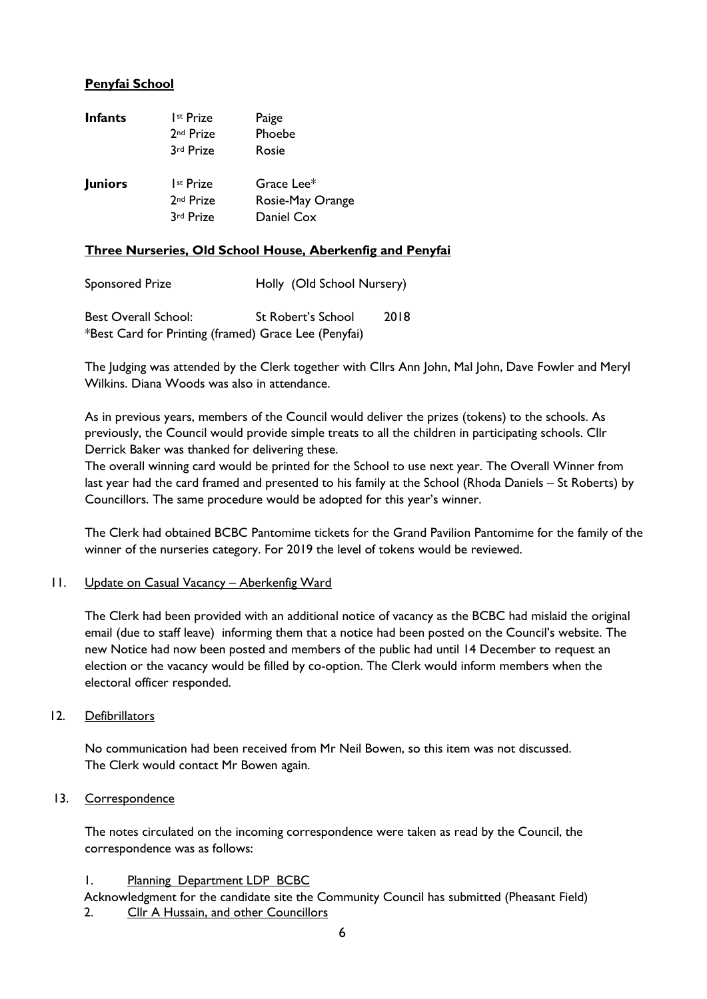# **Penyfai School**

| <b>Infants</b> | I <sup>st</sup> Prize<br>2 <sup>nd</sup> Prize              | Paige<br>Phoebe                         |
|----------------|-------------------------------------------------------------|-----------------------------------------|
| <b>Juniors</b> | 3rd Prize<br>I <sup>st</sup> Prize<br>2 <sup>nd</sup> Prize | Rosie<br>Grace Lee*<br>Rosie-May Orange |
|                | 3rd Prize                                                   | Daniel Cox                              |

### **Three Nurseries, Old School House, Aberkenfig and Penyfai**

| Sponsored Prize                                      | Holly (Old School Nursery) |      |
|------------------------------------------------------|----------------------------|------|
| <b>Best Overall School:</b>                          | St Robert's School         | 2018 |
| *Best Card for Printing (framed) Grace Lee (Penyfai) |                            |      |

The Judging was attended by the Clerk together with Cllrs Ann John, Mal John, Dave Fowler and Meryl Wilkins. Diana Woods was also in attendance.

As in previous years, members of the Council would deliver the prizes (tokens) to the schools. As previously, the Council would provide simple treats to all the children in participating schools. Cllr Derrick Baker was thanked for delivering these.

The overall winning card would be printed for the School to use next year. The Overall Winner from last year had the card framed and presented to his family at the School (Rhoda Daniels – St Roberts) by Councillors. The same procedure would be adopted for this year's winner.

The Clerk had obtained BCBC Pantomime tickets for the Grand Pavilion Pantomime for the family of the winner of the nurseries category. For 2019 the level of tokens would be reviewed.

### 11. Update on Casual Vacancy - Aberkenfig Ward

The Clerk had been provided with an additional notice of vacancy as the BCBC had mislaid the original email (due to staff leave) informing them that a notice had been posted on the Council's website. The new Notice had now been posted and members of the public had until 14 December to request an election or the vacancy would be filled by co-option. The Clerk would inform members when the electoral officer responded.

### 12. Defibrillators

No communication had been received from Mr Neil Bowen, so this item was not discussed. The Clerk would contact Mr Bowen again.

## 13. Correspondence

The notes circulated on the incoming correspondence were taken as read by the Council, the correspondence was as follows:

## 1. Planning Department LDP BCBC

Acknowledgment for the candidate site the Community Council has submitted (Pheasant Field) 2. Cllr A Hussain, and other Councillors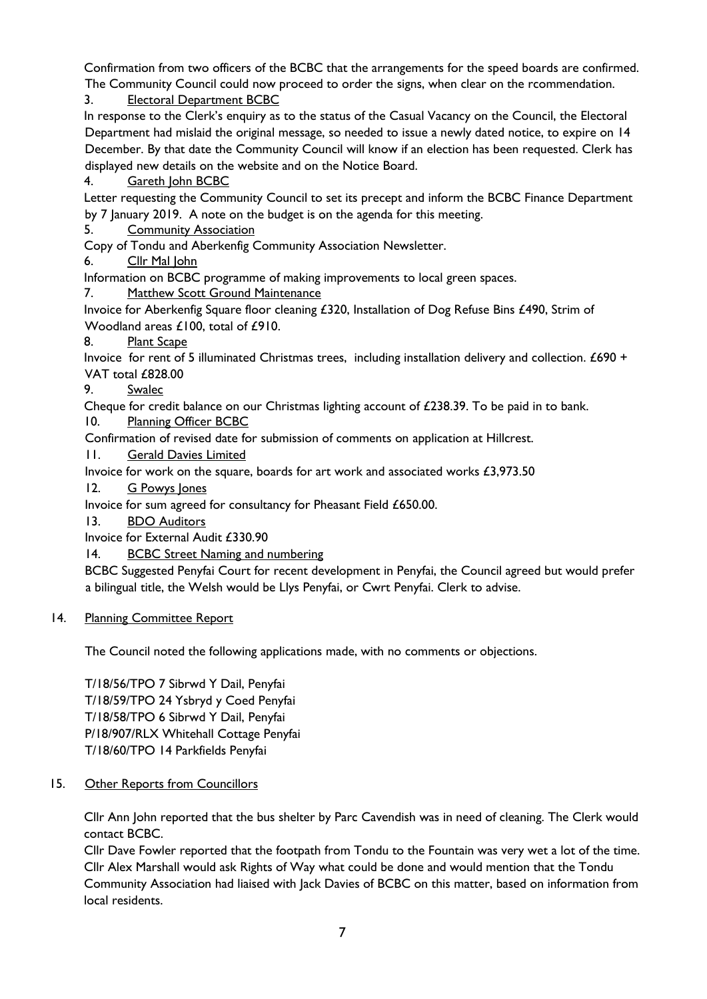Confirmation from two officers of the BCBC that the arrangements for the speed boards are confirmed. The Community Council could now proceed to order the signs, when clear on the rcommendation.

3. Electoral Department BCBC

In response to the Clerk's enquiry as to the status of the Casual Vacancy on the Council, the Electoral Department had mislaid the original message, so needed to issue a newly dated notice, to expire on 14 December. By that date the Community Council will know if an election has been requested. Clerk has displayed new details on the website and on the Notice Board.

4. Gareth John BCBC

Letter requesting the Community Council to set its precept and inform the BCBC Finance Department by 7 January 2019. A note on the budget is on the agenda for this meeting.

5. Community Association

Copy of Tondu and Aberkenfig Community Association Newsletter.

6. Cllr Mal John

Information on BCBC programme of making improvements to local green spaces.

7. Matthew Scott Ground Maintenance

Invoice for Aberkenfig Square floor cleaning £320, Installation of Dog Refuse Bins £490, Strim of Woodland areas £100, total of £910.

8. Plant Scape

Invoice for rent of 5 illuminated Christmas trees, including installation delivery and collection. £690 + VAT total £828.00

9. Swalec

Cheque for credit balance on our Christmas lighting account of £238.39. To be paid in to bank.

10. Planning Officer BCBC

Confirmation of revised date for submission of comments on application at Hillcrest.

11. Gerald Davies Limited

Invoice for work on the square, boards for art work and associated works £3,973.50

12. G Powys Jones

Invoice for sum agreed for consultancy for Pheasant Field £650.00.

13. BDO Auditors

Invoice for External Audit £330.90

14. BCBC Street Naming and numbering

BCBC Suggested Penyfai Court for recent development in Penyfai, the Council agreed but would prefer a bilingual title, the Welsh would be Llys Penyfai, or Cwrt Penyfai. Clerk to advise.

## 14. Planning Committee Report

The Council noted the following applications made, with no comments or objections.

T/18/56/TPO 7 Sibrwd Y Dail, Penyfai T/18/59/TPO 24 Ysbryd y Coed Penyfai T/18/58/TPO 6 Sibrwd Y Dail, Penyfai P/18/907/RLX Whitehall Cottage Penyfai T/18/60/TPO 14 Parkfields Penyfai

15. Other Reports from Councillors

Cllr Ann John reported that the bus shelter by Parc Cavendish was in need of cleaning. The Clerk would contact BCBC.

Cllr Dave Fowler reported that the footpath from Tondu to the Fountain was very wet a lot of the time. Cllr Alex Marshall would ask Rights of Way what could be done and would mention that the Tondu Community Association had liaised with Jack Davies of BCBC on this matter, based on information from local residents.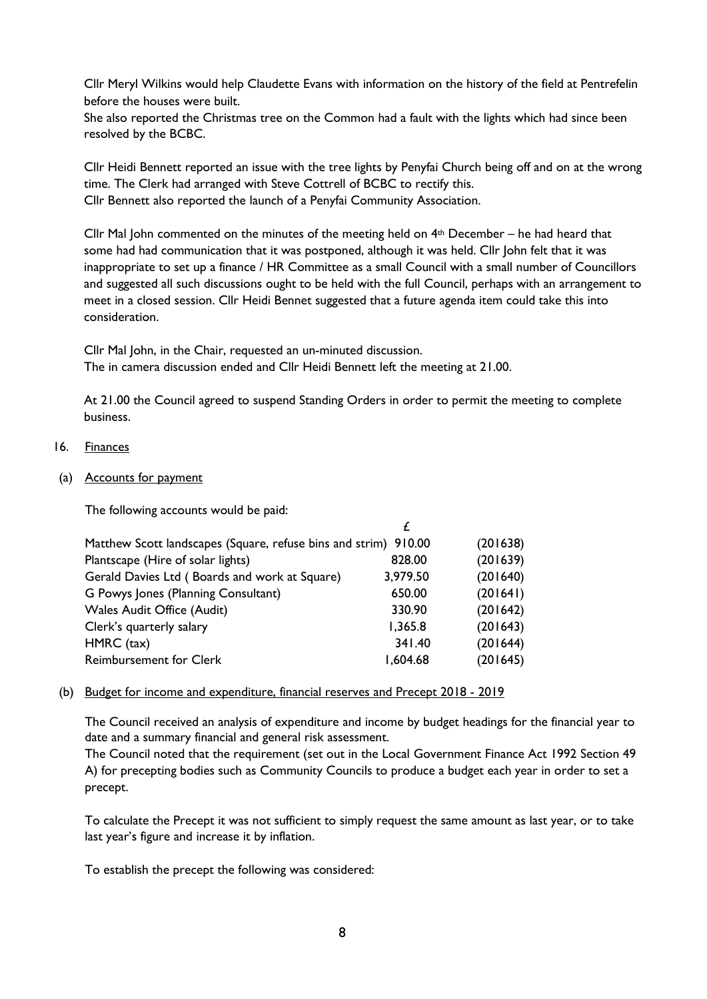Cllr Meryl Wilkins would help Claudette Evans with information on the history of the field at Pentrefelin before the houses were built.

She also reported the Christmas tree on the Common had a fault with the lights which had since been resolved by the BCBC.

Cllr Heidi Bennett reported an issue with the tree lights by Penyfai Church being off and on at the wrong time. The Clerk had arranged with Steve Cottrell of BCBC to rectify this. Cllr Bennett also reported the launch of a Penyfai Community Association.

Cllr Mal John commented on the minutes of the meeting held on  $4<sup>th</sup>$  December – he had heard that some had had communication that it was postponed, although it was held. Cllr John felt that it was inappropriate to set up a finance / HR Committee as a small Council with a small number of Councillors and suggested all such discussions ought to be held with the full Council, perhaps with an arrangement to meet in a closed session. Cllr Heidi Bennet suggested that a future agenda item could take this into consideration.

Cllr Mal John, in the Chair, requested an un-minuted discussion. The in camera discussion ended and Cllr Heidi Bennett left the meeting at 21.00.

At 21.00 the Council agreed to suspend Standing Orders in order to permit the meeting to complete business.

### 16. Finances

(a) Accounts for payment

The following accounts would be paid:

|                                                                 |          | (201638) |
|-----------------------------------------------------------------|----------|----------|
| Matthew Scott landscapes (Square, refuse bins and strim) 910.00 |          |          |
| Plantscape (Hire of solar lights)                               | 828.00   | (201639) |
| Gerald Davies Ltd (Boards and work at Square)                   | 3,979.50 | (201640) |
| G Powys Jones (Planning Consultant)                             | 650.00   | (201641) |
| <b>Wales Audit Office (Audit)</b>                               | 330.90   | (201642) |
| Clerk's quarterly salary                                        | 1,365.8  | (201643) |
| HMRC (tax)                                                      | 341.40   | (201644) |
| <b>Reimbursement for Clerk</b>                                  | 1,604.68 | (201645) |

### (b) Budget for income and expenditure, financial reserves and Precept 2018 - 2019

The Council received an analysis of expenditure and income by budget headings for the financial year to date and a summary financial and general risk assessment.

The Council noted that the requirement (set out in the Local Government Finance Act 1992 Section 49 A) for precepting bodies such as Community Councils to produce a budget each year in order to set a precept.

To calculate the Precept it was not sufficient to simply request the same amount as last year, or to take last year's figure and increase it by inflation.

To establish the precept the following was considered: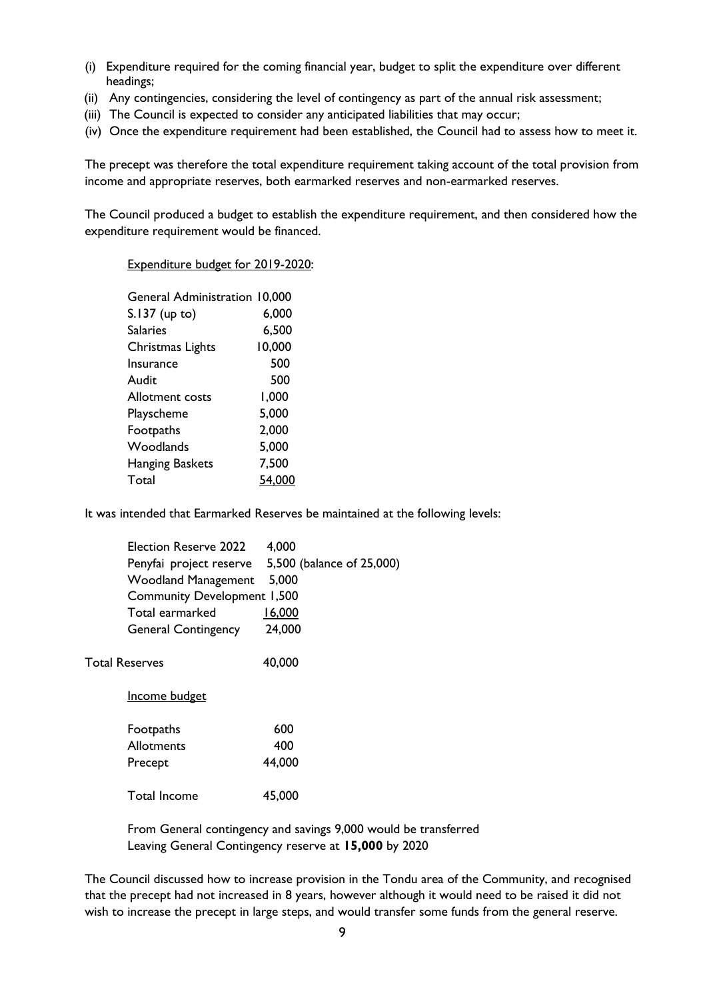- (i) Expenditure required for the coming financial year, budget to split the expenditure over different headings;
- (ii) Any contingencies, considering the level of contingency as part of the annual risk assessment;
- (iii) The Council is expected to consider any anticipated liabilities that may occur;
- (iv) Once the expenditure requirement had been established, the Council had to assess how to meet it.

The precept was therefore the total expenditure requirement taking account of the total provision from income and appropriate reserves, both earmarked reserves and non-earmarked reserves.

The Council produced a budget to establish the expenditure requirement, and then considered how the expenditure requirement would be financed.

Expenditure budget for 2019-2020:

| <b>General Administration 10,000</b> |        |
|--------------------------------------|--------|
| S.137 (up to)                        | 6,000  |
| <b>Salaries</b>                      | 6,500  |
| Christmas Lights                     | 10,000 |
| Insurance                            | 500    |
| Audit                                | 500    |
| Allotment costs                      | 1,000  |
| Playscheme                           | 5,000  |
| Footpaths                            | 2,000  |
| Woodlands                            | 5,000  |
| Hanging Baskets                      | 7,500  |
| Total                                | 54,000 |
|                                      |        |

It was intended that Earmarked Reserves be maintained at the following levels:

| Election Reserve 2022              | 4,000                     |
|------------------------------------|---------------------------|
| Penyfai project reserve            | 5,500 (balance of 25,000) |
| <b>Woodland Management</b>         | 5,000                     |
| <b>Community Development 1,500</b> |                           |
| Total earmarked                    | 16,000                    |
| <b>General Contingency</b>         | 24,000                    |
| <b>Total Reserves</b>              | 40,000                    |
| Income budget                      |                           |
| Footpaths                          | 600                       |
| <b>Allotments</b>                  | 400                       |
| Precept                            | 44,000                    |
| Total Income                       | 45,000                    |

From General contingency and savings 9,000 would be transferred Leaving General Contingency reserve at **15,000** by 2020

The Council discussed how to increase provision in the Tondu area of the Community, and recognised that the precept had not increased in 8 years, however although it would need to be raised it did not wish to increase the precept in large steps, and would transfer some funds from the general reserve.